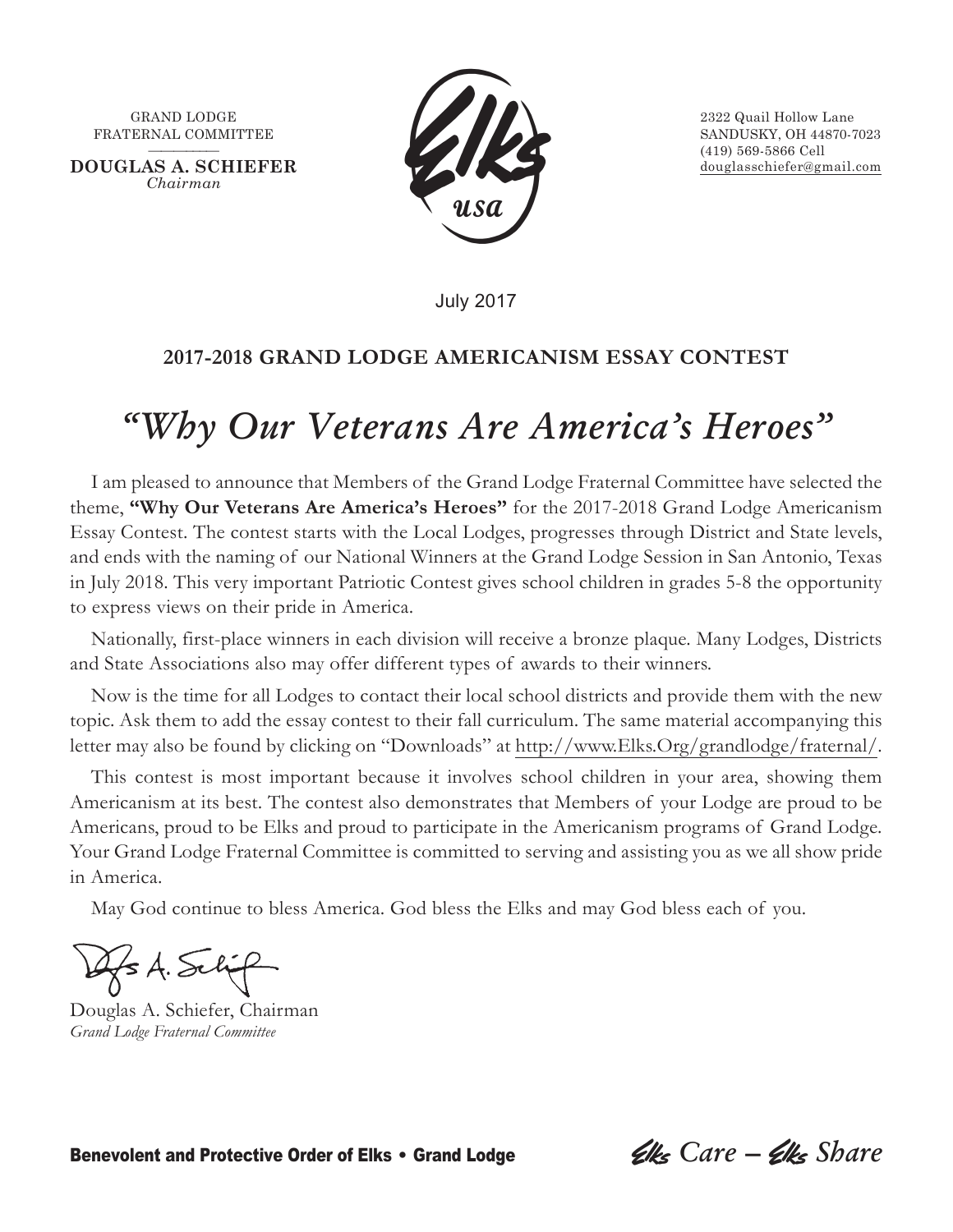FRATERNAL COMMITTEE SANDUSKY, OH 44870-7023

**DOUGLAS A. SCHIEFER** douglasschiefer@gmail.com *Chairman*



———–––— (419) 569-5866 Cell

July 2017

### **2017-2018 GRAND LODGE AMERICANISM ESSAY CONTEST**

## *"Why Our Veterans Are America's Heroes"*

I am pleased to announce that Members of the Grand Lodge Fraternal Committee have selected the theme, **"Why Our Veterans Are America's Heroes"** for the 2017-2018 Grand Lodge Americanism Essay Contest. The contest starts with the Local Lodges, progresses through District and State levels, and ends with the naming of our National Winners at the Grand Lodge Session in San Antonio, Texas in July 2018. This very important Patriotic Contest gives school children in grades 5-8 the opportunity to express views on their pride in America.

Nationally, first-place winners in each division will receive a bronze plaque. Many Lodges, Districts and State Associations also may offer different types of awards to their winners.

Now is the time for all Lodges to contact their local school districts and provide them with the new topic. Ask them to add the essay contest to their fall curriculum. The same material accompanying this letter may also be found by clicking on "Downloads" at http://www.Elks.Org/grandlodge/fraternal/.

This contest is most important because it involves school children in your area, showing them Americanism at its best. The contest also demonstrates that Members of your Lodge are proud to be Americans, proud to be Elks and proud to participate in the Americanism programs of Grand Lodge. Your Grand Lodge Fraternal Committee is committed to serving and assisting you as we all show pride in America.

May God continue to bless America. God bless the Elks and may God bless each of you.

 $\leq$  A. Sel

Douglas A. Schiefer, Chairman *Grand Lodge Fraternal Committee*

Benevolent and Protective Order of Elks • Grand Lodge *Clks Care – Clks Share*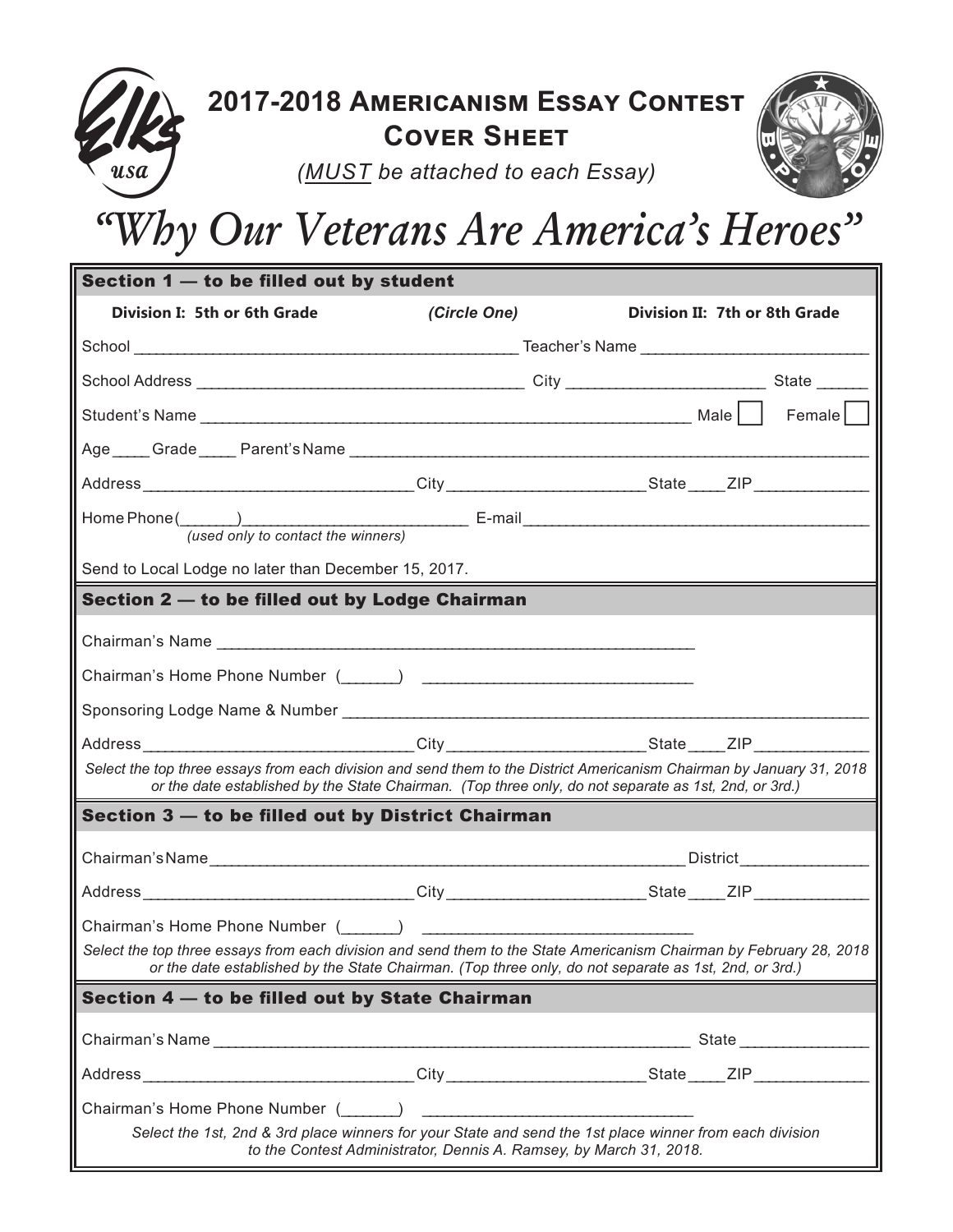

| Section 1 - to be filled out by student                                                                                                                                                                                        |              |                                                                                                      |  |  |  |  |
|--------------------------------------------------------------------------------------------------------------------------------------------------------------------------------------------------------------------------------|--------------|------------------------------------------------------------------------------------------------------|--|--|--|--|
| Division I: 5th or 6th Grade                                                                                                                                                                                                   | (Circle One) | Division II: 7th or 8th Grade                                                                        |  |  |  |  |
|                                                                                                                                                                                                                                |              |                                                                                                      |  |  |  |  |
|                                                                                                                                                                                                                                |              |                                                                                                      |  |  |  |  |
|                                                                                                                                                                                                                                |              | $F$ emale $\vert$                                                                                    |  |  |  |  |
|                                                                                                                                                                                                                                |              |                                                                                                      |  |  |  |  |
|                                                                                                                                                                                                                                |              | Address ________________________________City __________________________State _____ZIP ______________ |  |  |  |  |
| Home Phone ( ) ______________<br>(used only to contact the winners)                                                                                                                                                            |              |                                                                                                      |  |  |  |  |
| Send to Local Lodge no later than December 15, 2017.                                                                                                                                                                           |              |                                                                                                      |  |  |  |  |
| Section 2 - to be filled out by Lodge Chairman                                                                                                                                                                                 |              |                                                                                                      |  |  |  |  |
| Chairman's Name                                                                                                                                                                                                                |              |                                                                                                      |  |  |  |  |
|                                                                                                                                                                                                                                |              |                                                                                                      |  |  |  |  |
|                                                                                                                                                                                                                                |              |                                                                                                      |  |  |  |  |
|                                                                                                                                                                                                                                |              |                                                                                                      |  |  |  |  |
| Select the top three essays from each division and send them to the District Americanism Chairman by January 31, 2018<br>or the date established by the State Chairman. (Top three only, do not separate as 1st, 2nd, or 3rd.) |              |                                                                                                      |  |  |  |  |
| Section 3 - to be filled out by District Chairman                                                                                                                                                                              |              |                                                                                                      |  |  |  |  |
|                                                                                                                                                                                                                                |              |                                                                                                      |  |  |  |  |
| Address _________________________________City ___________________________State _____ZIP _________________                                                                                                                      |              |                                                                                                      |  |  |  |  |
| Chairman's Home Phone Number ( )                                                                                                                                                                                               |              |                                                                                                      |  |  |  |  |
| Select the top three essays from each division and send them to the State Americanism Chairman by February 28, 2018<br>or the date established by the State Chairman. (Top three only, do not separate as 1st, 2nd, or 3rd.)   |              |                                                                                                      |  |  |  |  |
| Section 4 - to be filled out by State Chairman                                                                                                                                                                                 |              |                                                                                                      |  |  |  |  |
| Chairman's Name                                                                                                                                                                                                                |              | State                                                                                                |  |  |  |  |
|                                                                                                                                                                                                                                |              |                                                                                                      |  |  |  |  |
|                                                                                                                                                                                                                                |              |                                                                                                      |  |  |  |  |
| Select the 1st, 2nd & 3rd place winners for your State and send the 1st place winner from each division<br>to the Contest Administrator, Dennis A. Ramsey, by March 31, 2018.                                                  |              |                                                                                                      |  |  |  |  |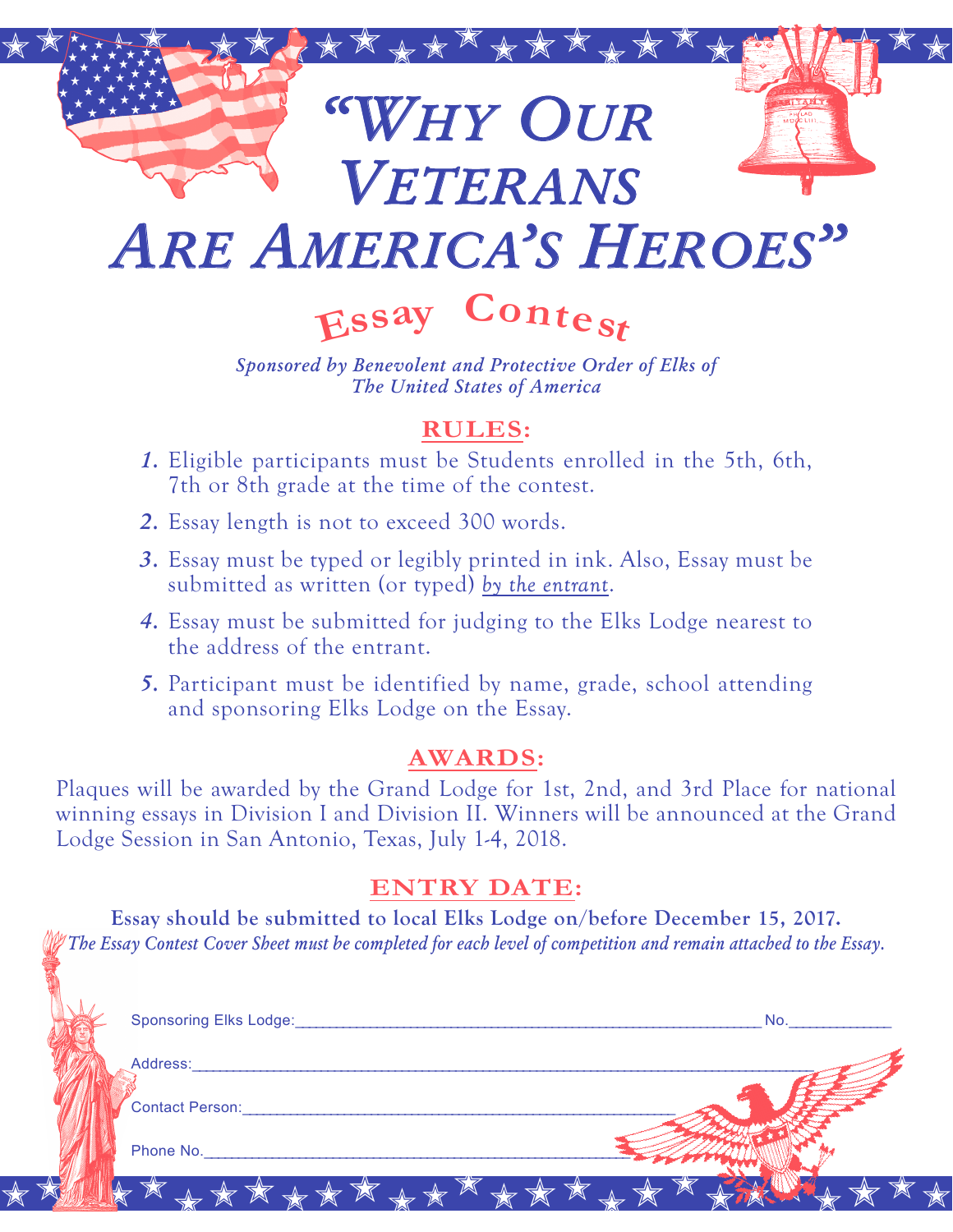

# *Are America's Heroes"*

**<sup>E</sup>ss<sup>a</sup><sup>y</sup> <sup>C</sup>ontes<sup>t</sup>**

*Sponsored by Benevolent and Protective Order of Elks of The United States of America*

### **RULES:**

- *1.* Eligible participants must be Students enrolled in the 5th, 6th, 7th or 8th grade at the time of the contest.
- *2.* Essay length is not to exceed 300 words.
- *3.* Essay must be typed or legibly printed in ink. Also, Essay must be submitted as written (or typed) *by the entrant*.
- *4.* Essay must be submitted for judging to the Elks Lodge nearest to the address of the entrant.
- *5.* Participant must be identified by name, grade, school attending and sponsoring Elks Lodge on the Essay.

### **AWARDS:**

Plaques will be awarded by the Grand Lodge for 1st, 2nd, and 3rd Place for national winning essays in Division I and Division II. Winners will be announced at the Grand Lodge Session in San Antonio, Texas, July 1-4, 2018.

### **ENTRY DATE:**

**Essay should be submitted to local Elks Lodge on/before December 15, 2017.** *The Essay Contest Cover Sheet must be completed for each level of competition and remain attached to the Essay.*

| <b>Sponsoring Elks Lodge:</b> |         | No. |  |
|-------------------------------|---------|-----|--|
| Address:                      |         |     |  |
| <b>Contact Person:</b>        |         |     |  |
| Phone No.                     |         |     |  |
| $\Delta$<br>$\leq$            | ******* |     |  |
|                               |         |     |  |